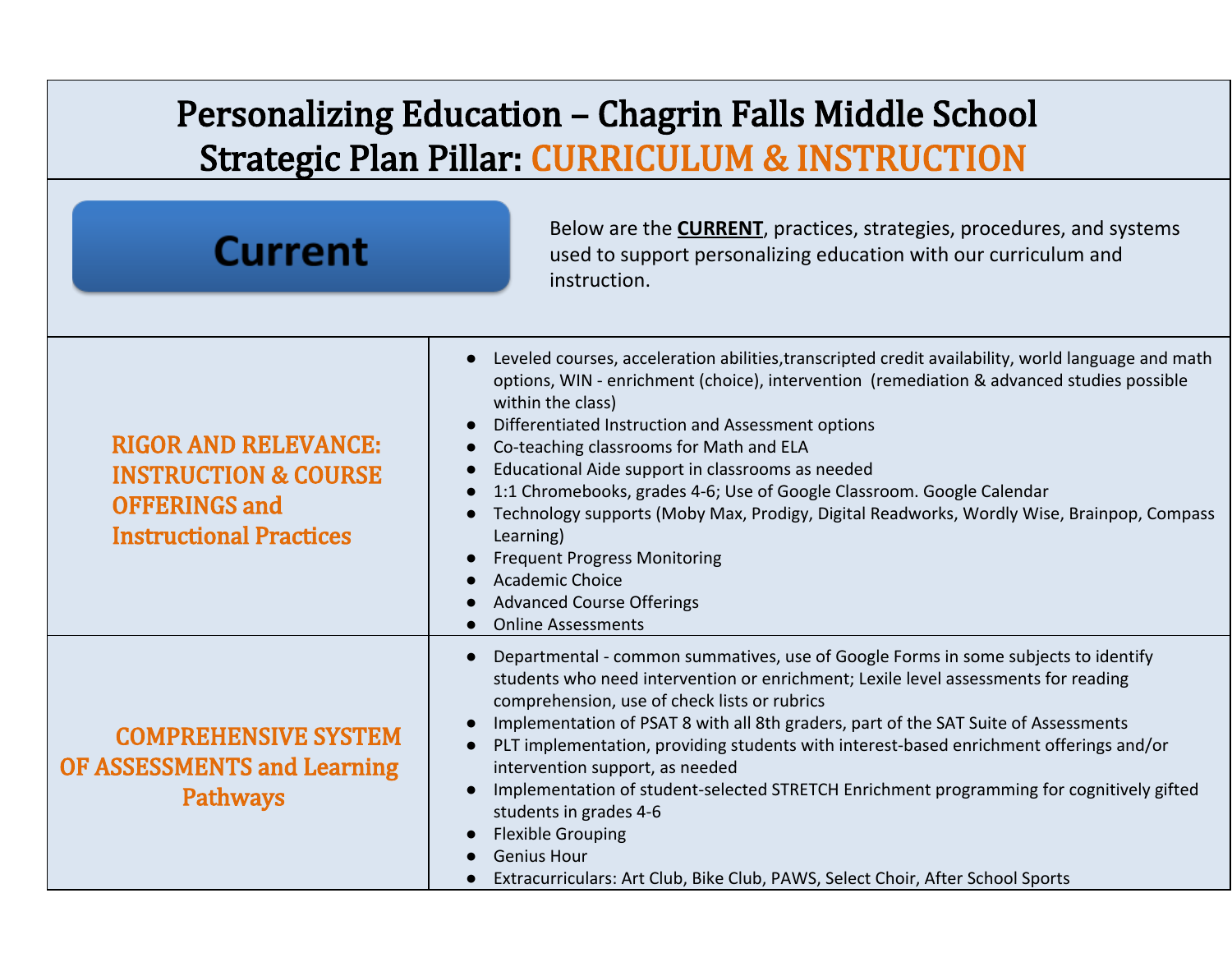## Personalizing Education – Chagrin Falls Middle School Strategic Plan Pillar: CURRICULUM & INSTRUCTION

| <b>Current</b>                                                                                                           | Below are the <b>CURRENT</b> , practices, strategies, procedures, and systems<br>used to support personalizing education with our curriculum and<br>instruction.                                                                                                                                                                                                                                                                                                                                                                                                                                                                                                                                                                                           |
|--------------------------------------------------------------------------------------------------------------------------|------------------------------------------------------------------------------------------------------------------------------------------------------------------------------------------------------------------------------------------------------------------------------------------------------------------------------------------------------------------------------------------------------------------------------------------------------------------------------------------------------------------------------------------------------------------------------------------------------------------------------------------------------------------------------------------------------------------------------------------------------------|
| <b>RIGOR AND RELEVANCE:</b><br><b>INSTRUCTION &amp; COURSE</b><br><b>OFFERINGS and</b><br><b>Instructional Practices</b> | Leveled courses, acceleration abilities, transcripted credit availability, world language and math<br>$\bullet$<br>options, WIN - enrichment (choice), intervention (remediation & advanced studies possible<br>within the class)<br>Differentiated Instruction and Assessment options<br>$\bullet$<br>Co-teaching classrooms for Math and ELA<br>$\bullet$<br>Educational Aide support in classrooms as needed<br>1:1 Chromebooks, grades 4-6; Use of Google Classroom. Google Calendar<br>Technology supports (Moby Max, Prodigy, Digital Readworks, Wordly Wise, Brainpop, Compass<br>Learning)<br><b>Frequent Progress Monitoring</b><br><b>Academic Choice</b><br><b>Advanced Course Offerings</b><br><b>Online Assessments</b>                       |
| <b>COMPREHENSIVE SYSTEM</b><br><b>OF ASSESSMENTS and Learning</b><br><b>Pathways</b>                                     | Departmental - common summatives, use of Google Forms in some subjects to identify<br>$\bullet$<br>students who need intervention or enrichment; Lexile level assessments for reading<br>comprehension, use of check lists or rubrics<br>Implementation of PSAT 8 with all 8th graders, part of the SAT Suite of Assessments<br>$\bullet$<br>PLT implementation, providing students with interest-based enrichment offerings and/or<br>intervention support, as needed<br>Implementation of student-selected STRETCH Enrichment programming for cognitively gifted<br>$\bullet$<br>students in grades 4-6<br><b>Flexible Grouping</b><br>$\bullet$<br><b>Genius Hour</b><br>Extracurriculars: Art Club, Bike Club, PAWS, Select Choir, After School Sports |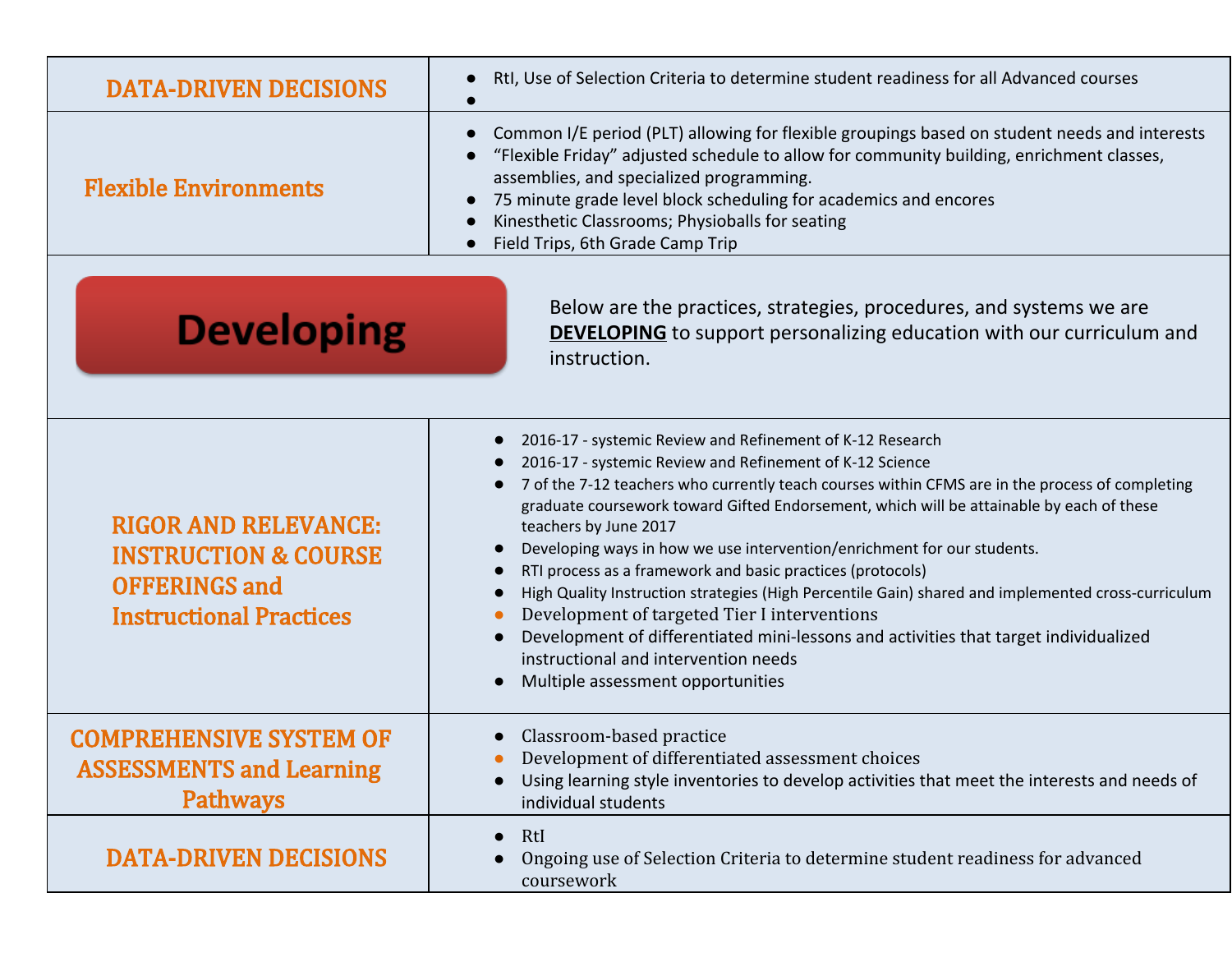| <b>DATA-DRIVEN DECISIONS</b>                                                                                                                                                             | RtI, Use of Selection Criteria to determine student readiness for all Advanced courses                                                                                                                                                                                                                                                                                                                                                                                                                                                                                                                                                                                                                                                                                                                            |  |
|------------------------------------------------------------------------------------------------------------------------------------------------------------------------------------------|-------------------------------------------------------------------------------------------------------------------------------------------------------------------------------------------------------------------------------------------------------------------------------------------------------------------------------------------------------------------------------------------------------------------------------------------------------------------------------------------------------------------------------------------------------------------------------------------------------------------------------------------------------------------------------------------------------------------------------------------------------------------------------------------------------------------|--|
| <b>Flexible Environments</b>                                                                                                                                                             | Common I/E period (PLT) allowing for flexible groupings based on student needs and interests<br>"Flexible Friday" adjusted schedule to allow for community building, enrichment classes,<br>assemblies, and specialized programming.<br>75 minute grade level block scheduling for academics and encores<br>Kinesthetic Classrooms; Physioballs for seating<br>Field Trips, 6th Grade Camp Trip                                                                                                                                                                                                                                                                                                                                                                                                                   |  |
| Below are the practices, strategies, procedures, and systems we are<br><b>Developing</b><br><b>DEVELOPING</b> to support personalizing education with our curriculum and<br>instruction. |                                                                                                                                                                                                                                                                                                                                                                                                                                                                                                                                                                                                                                                                                                                                                                                                                   |  |
| <b>RIGOR AND RELEVANCE:</b><br><b>INSTRUCTION &amp; COURSE</b><br><b>OFFERINGS and</b><br><b>Instructional Practices</b>                                                                 | 2016-17 - systemic Review and Refinement of K-12 Research<br>2016-17 - systemic Review and Refinement of K-12 Science<br>7 of the 7-12 teachers who currently teach courses within CFMS are in the process of completing<br>graduate coursework toward Gifted Endorsement, which will be attainable by each of these<br>teachers by June 2017<br>Developing ways in how we use intervention/enrichment for our students.<br>RTI process as a framework and basic practices (protocols)<br>High Quality Instruction strategies (High Percentile Gain) shared and implemented cross-curriculum<br>Development of targeted Tier I interventions<br>Development of differentiated mini-lessons and activities that target individualized<br>instructional and intervention needs<br>Multiple assessment opportunities |  |
| <b>COMPREHENSIVE SYSTEM OF</b><br><b>ASSESSMENTS and Learning</b><br><b>Pathways</b>                                                                                                     | Classroom-based practice<br>Development of differentiated assessment choices<br>Using learning style inventories to develop activities that meet the interests and needs of<br>individual students                                                                                                                                                                                                                                                                                                                                                                                                                                                                                                                                                                                                                |  |
| <b>DATA-DRIVEN DECISIONS</b>                                                                                                                                                             | RtI<br>$\bullet$<br>Ongoing use of Selection Criteria to determine student readiness for advanced<br>coursework                                                                                                                                                                                                                                                                                                                                                                                                                                                                                                                                                                                                                                                                                                   |  |